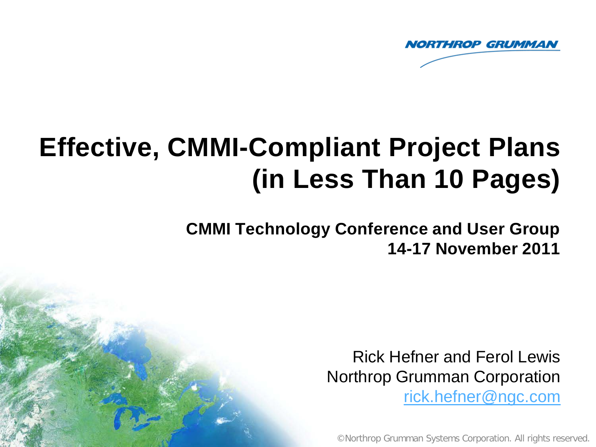

# **Effective, CMMI-Compliant Project Plans (in Less Than 10 Pages)**

**CMMI Technology Conference and User Group 14-17 November 2011** 

> Rick Hefner and Ferol Lewis Northrop Grumman Corporation [rick.hefner@ngc.com](mailto:rick.hefner@ngc.com)

©Northrop Grumman Systems Corporation. All rights reserved.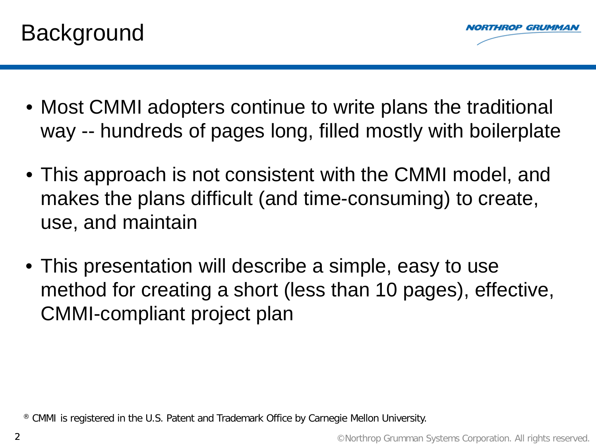



- Most CMMI adopters continue to write plans the traditional way -- hundreds of pages long, filled mostly with boilerplate
- This approach is not consistent with the CMMI model, and makes the plans difficult (and time-consuming) to create, use, and maintain
- This presentation will describe a simple, easy to use method for creating a short (less than 10 pages), effective, CMMI-compliant project plan

® CMMI is registered in the U.S. Patent and Trademark Office by Carnegie Mellon University.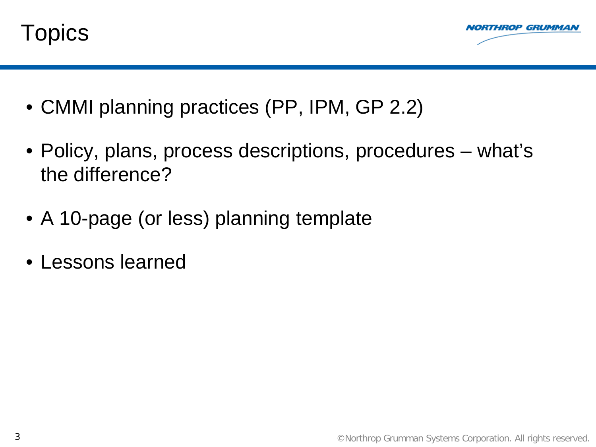



- CMMI planning practices (PP, IPM, GP 2.2)
- Policy, plans, process descriptions, procedures what's the difference?
- A 10-page (or less) planning template
- Lessons learned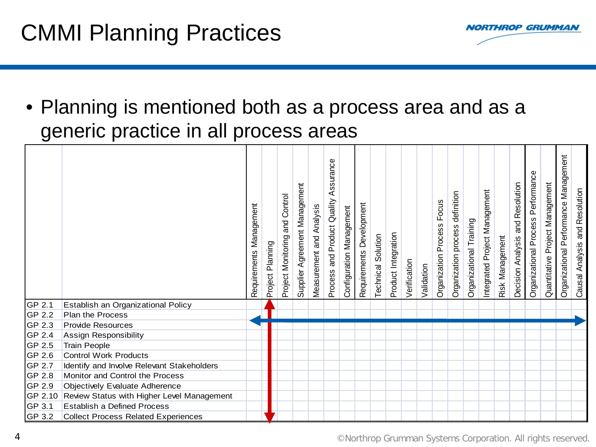

• Planning is mentioned both as a process area and as a generic practice in all process areas

|        |                                                    | Requirements Management | Project Planning | Project Monitoring and Control | Supplier Agreement Management | Measurement and Analysis | Assurance<br>and Product Quality<br>Process | Configuration Management | Requirements Development | Technical Solution | Product Integration | Verification | Validation | Focus<br>Organization Process | Organization process definition | Organizational Training | Integrated Project Management | Risk Management | Decision Analysis and Resolution | Organizational Process Performance | Quantitative Project Management | Organizational Performance Management | Causal Analysis and Resolution |
|--------|----------------------------------------------------|-------------------------|------------------|--------------------------------|-------------------------------|--------------------------|---------------------------------------------|--------------------------|--------------------------|--------------------|---------------------|--------------|------------|-------------------------------|---------------------------------|-------------------------|-------------------------------|-----------------|----------------------------------|------------------------------------|---------------------------------|---------------------------------------|--------------------------------|
| GP 2.1 | Establish an Organizational Policy                 |                         |                  |                                |                               |                          |                                             |                          |                          |                    |                     |              |            |                               |                                 |                         |                               |                 |                                  |                                    |                                 |                                       |                                |
| GP 2.2 | Plan the Process                                   |                         |                  |                                |                               |                          |                                             |                          |                          |                    |                     |              |            |                               |                                 |                         |                               |                 |                                  |                                    |                                 |                                       |                                |
| GP 2.3 | <b>Provide Resources</b>                           |                         |                  |                                |                               |                          |                                             |                          |                          |                    |                     |              |            |                               |                                 |                         |                               |                 |                                  |                                    |                                 |                                       |                                |
| GP 2.4 | Assign Responsibility                              |                         |                  |                                |                               |                          |                                             |                          |                          |                    |                     |              |            |                               |                                 |                         |                               |                 |                                  |                                    |                                 |                                       |                                |
| GP 2.5 | <b>Train People</b>                                |                         |                  |                                |                               |                          |                                             |                          |                          |                    |                     |              |            |                               |                                 |                         |                               |                 |                                  |                                    |                                 |                                       |                                |
| GP 2.6 | <b>Control Work Products</b>                       |                         |                  |                                |                               |                          |                                             |                          |                          |                    |                     |              |            |                               |                                 |                         |                               |                 |                                  |                                    |                                 |                                       |                                |
| GP 2.7 | Identify and Involve Relevant Stakeholders         |                         |                  |                                |                               |                          |                                             |                          |                          |                    |                     |              |            |                               |                                 |                         |                               |                 |                                  |                                    |                                 |                                       |                                |
| GP 2.8 | Monitor and Control the Process                    |                         |                  |                                |                               |                          |                                             |                          |                          |                    |                     |              |            |                               |                                 |                         |                               |                 |                                  |                                    |                                 |                                       |                                |
| GP 2.9 | Objectively Evaluate Adherence                     |                         |                  |                                |                               |                          |                                             |                          |                          |                    |                     |              |            |                               |                                 |                         |                               |                 |                                  |                                    |                                 |                                       |                                |
|        | GP 2.10 Review Status with Higher Level Management |                         |                  |                                |                               |                          |                                             |                          |                          |                    |                     |              |            |                               |                                 |                         |                               |                 |                                  |                                    |                                 |                                       |                                |
| GP 3.1 | <b>Establish a Defined Process</b>                 |                         |                  |                                |                               |                          |                                             |                          |                          |                    |                     |              |            |                               |                                 |                         |                               |                 |                                  |                                    |                                 |                                       |                                |
| GP 3.2 | Collect Process Related Experiences                |                         |                  |                                |                               |                          |                                             |                          |                          |                    |                     |              |            |                               |                                 |                         |                               |                 |                                  |                                    |                                 |                                       |                                |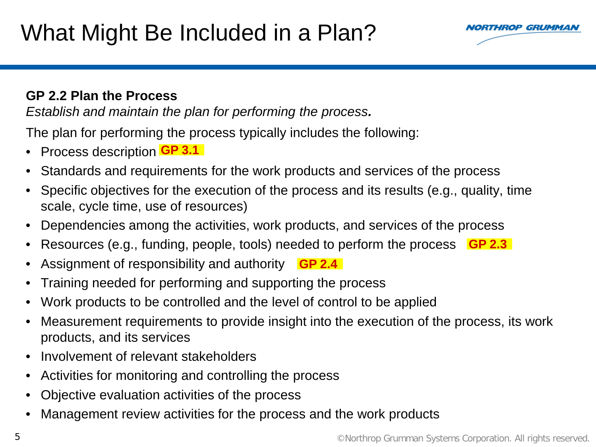

#### **GP 2.2 Plan the Process**

*Establish and maintain the plan for performing the process.*

The plan for performing the process typically includes the following:

- Process description **GP 3.1**
- Standards and requirements for the work products and services of the process
- Specific objectives for the execution of the process and its results (e.g., quality, time scale, cycle time, use of resources)
- Dependencies among the activities, work products, and services of the process
- Resources (e.g., funding, people, tools) needed to perform the process **GP 2.3**
- Assignment of responsibility and authority **GP 2.4**
- Training needed for performing and supporting the process
- Work products to be controlled and the level of control to be applied
- Measurement requirements to provide insight into the execution of the process, its work products, and its services
- Involvement of relevant stakeholders
- Activities for monitoring and controlling the process
- Objective evaluation activities of the process
- Management review activities for the process and the work products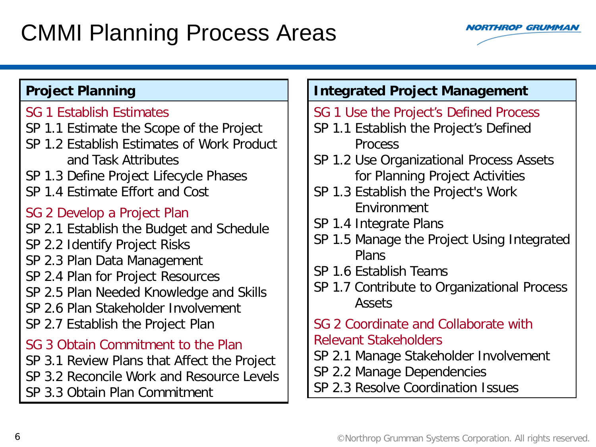### CMMI Planning Process Areas



#### **Project Planning**

#### SG 1 Establish Estimates

- SP 1.1 Estimate the Scope of the Project
- SP 1.2 Establish Estimates of Work Product and Task Attributes
- SP 1.3 Define Project Lifecycle Phases
- SP 1.4 Estimate Effort and Cost

#### SG 2 Develop a Project Plan

- SP 2.1 Establish the Budget and Schedule
- SP 2.2 Identify Project Risks
- SP 2.3 Plan Data Management
- SP 2.4 Plan for Project Resources
- SP 2.5 Plan Needed Knowledge and Skills
- SP 2.6 Plan Stakeholder Involvement
- SP 2.7 Establish the Project Plan

#### SG 3 Obtain Commitment to the Plan

- SP 3.1 Review Plans that Affect the Project
- SP 3.2 Reconcile Work and Resource Levels
- SP 3.3 Obtain Plan Commitment

### **Integrated Project Management**

- SG 1 Use the Project's Defined Process
- SP 1.1 Establish the Project's Defined Process
- SP 1.2 Use Organizational Process Assets for Planning Project Activities
- SP 1.3 Establish the Project's Work Environment
- SP 1.4 Integrate Plans
- SP 1.5 Manage the Project Using Integrated Plans
- SP 1.6 Establish Teams
- SP 1.7 Contribute to Organizational Process Assets
- SG 2 Coordinate and Collaborate with Relevant Stakeholders
- SP 2.1 Manage Stakeholder Involvement
- SP 2.2 Manage Dependencies
- SP 2.3 Resolve Coordination Issues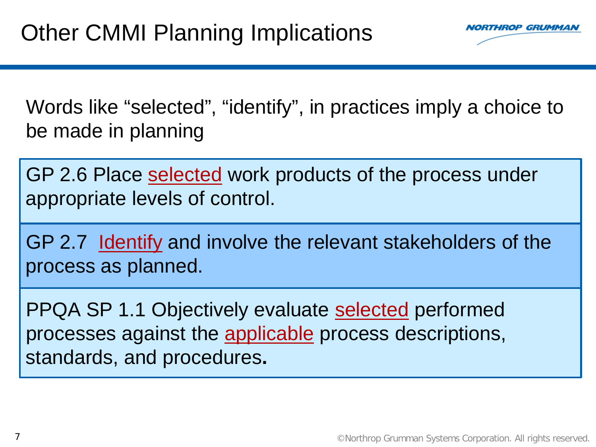

Words like "selected", "identify", in practices imply a choice to be made in planning

GP 2.6 Place selected work products of the process under appropriate levels of control.

GP 2.7 Identify and involve the relevant stakeholders of the process as planned.

PPQA SP 1.1 Objectively evaluate selected performed processes against the applicable process descriptions, standards, and procedures**.**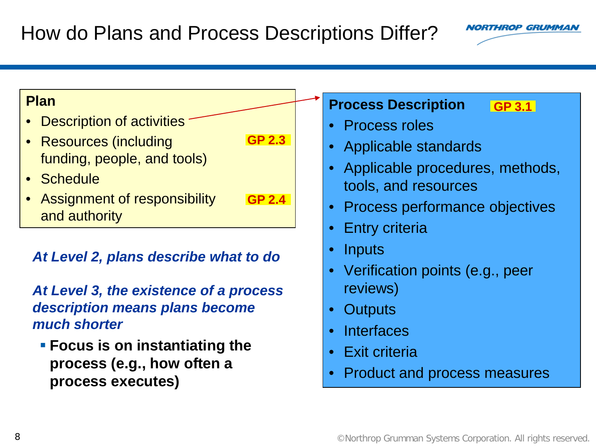#### **Plan**

- Description of activities
- Resources (including funding, people, and tools) **GP 2.3**
- Schedule
- Assignment of responsibility and authority **GP 2.4**

### *At Level 2, plans describe what to do*

### *At Level 3, the existence of a process description means plans become much shorter*

 **Focus is on instantiating the process (e.g., how often a process executes)**

#### **Process Description GP 3.1**

- Process roles
- Applicable standards
- Applicable procedures, methods, tools, and resources
- Process performance objectives
- Entry criteria
- Inputs
- Verification points (e.g., peer reviews)
- Outputs
- Interfaces
- Exit criteria
- Product and process measures

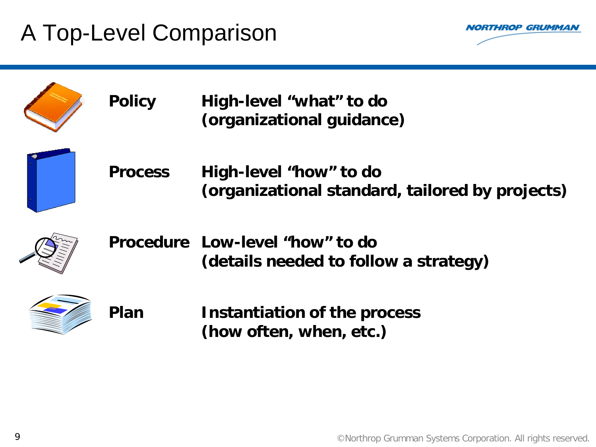## A Top-Level Comparison



| <b>Policy</b>  | High-level "what" to do<br>(organizational guidance)                      |
|----------------|---------------------------------------------------------------------------|
| <b>Process</b> | High-level "how" to do<br>(organizational standard, tailored by projects) |
|                | Procedure Low-level "how" to do<br>(details needed to follow a strategy)  |
| Plan           | Instantiation of the process<br>(how often, when, etc.)                   |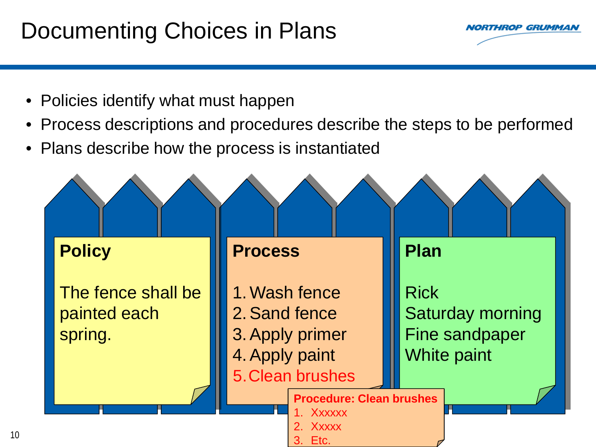### Documenting Choices in Plans



• Policies identify what must happen

10

- Process descriptions and procedures describe the steps to be performed
- Plans describe how the process is instantiated

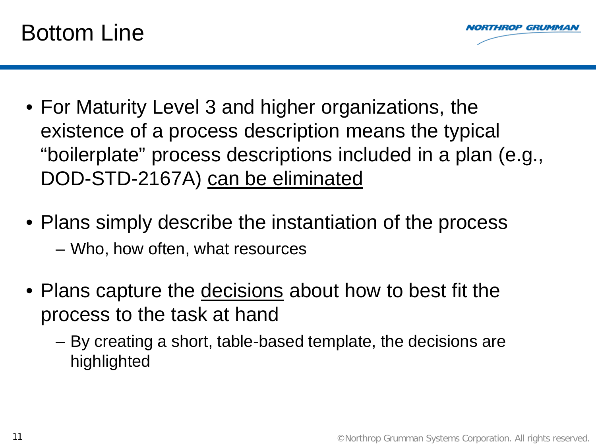



- For Maturity Level 3 and higher organizations, the existence of a process description means the typical "boilerplate" process descriptions included in a plan (e.g., DOD-STD-2167A) can be eliminated
- Plans simply describe the instantiation of the process – Who, how often, what resources
- Plans capture the decisions about how to best fit the process to the task at hand
	- By creating a short, table-based template, the decisions are highlighted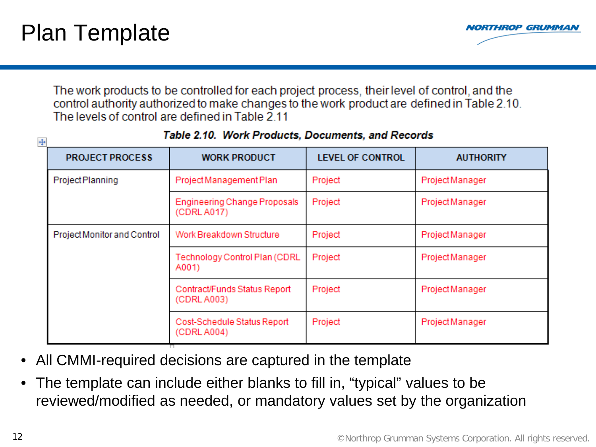

The work products to be controlled for each project process, their level of control, and the control authority authorized to make changes to the work product are defined in Table 2.10. The levels of control are defined in Table 2.11

| Table 2.10. Work Frounces, Documents, and Necorus<br>$\ddot{\ddagger}$ |                                             |                         |                  |  |  |  |  |  |  |  |  |  |
|------------------------------------------------------------------------|---------------------------------------------|-------------------------|------------------|--|--|--|--|--|--|--|--|--|
| <b>PROJECT PROCESS</b>                                                 | <b>WORK PRODUCT</b>                         | <b>LEVEL OF CONTROL</b> | <b>AUTHORITY</b> |  |  |  |  |  |  |  |  |  |
| Project Planning                                                       | Project Management Plan                     | Project                 | Project Manager  |  |  |  |  |  |  |  |  |  |
|                                                                        | Engineering Change Proposals<br>(CDRL A017) | Project                 | Project Manager  |  |  |  |  |  |  |  |  |  |
| Project Monitor and Control                                            | Work Breakdown Structure                    | Project                 | Project Manager  |  |  |  |  |  |  |  |  |  |
|                                                                        | Technology Control Plan (CDRL)<br>A001)     | Project                 | Project Manager  |  |  |  |  |  |  |  |  |  |
|                                                                        | Contract/Funds Status Report<br>(CDRL A003) | Project                 | Project Manager  |  |  |  |  |  |  |  |  |  |
|                                                                        | Cost-Schedule Status Report<br>(CDRL A004)  | Project                 | Project Manager  |  |  |  |  |  |  |  |  |  |
|                                                                        |                                             |                         |                  |  |  |  |  |  |  |  |  |  |

#### Table 2.10. Work Products, Documents, and Records

- All CMMI-required decisions are captured in the template
- The template can include either blanks to fill in, "typical" values to be reviewed/modified as needed, or mandatory values set by the organization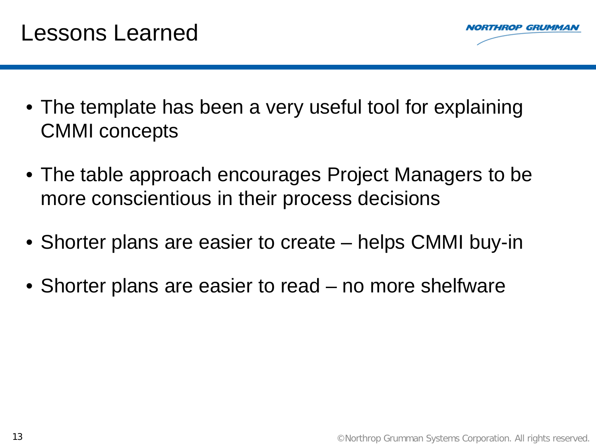

### Lessons Learned

- The template has been a very useful tool for explaining CMMI concepts
- The table approach encourages Project Managers to be more conscientious in their process decisions
- Shorter plans are easier to create helps CMMI buy-in
- Shorter plans are easier to read no more shelfware